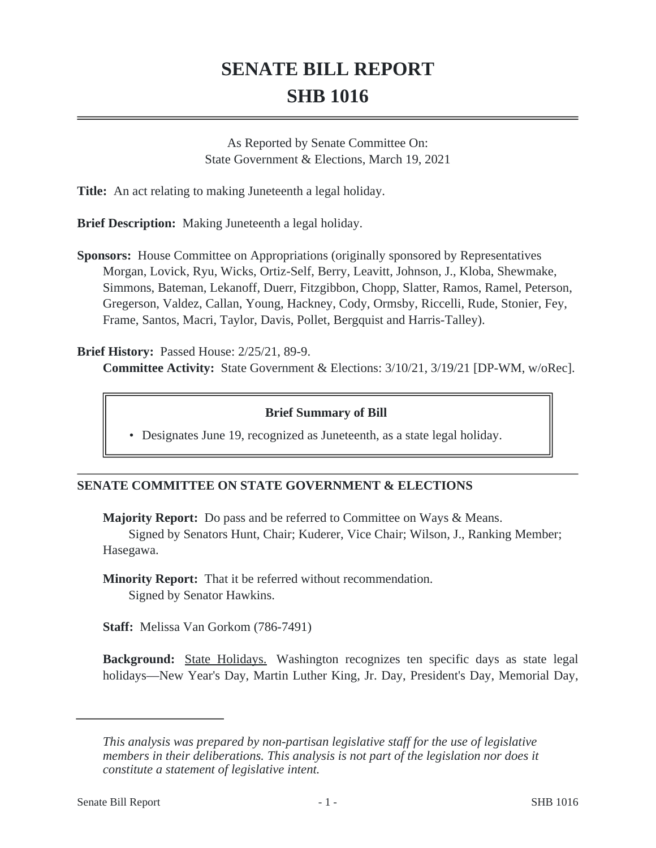# **SENATE BILL REPORT SHB 1016**

As Reported by Senate Committee On: State Government & Elections, March 19, 2021

**Title:** An act relating to making Juneteenth a legal holiday.

**Brief Description:** Making Juneteenth a legal holiday.

**Sponsors:** House Committee on Appropriations (originally sponsored by Representatives Morgan, Lovick, Ryu, Wicks, Ortiz-Self, Berry, Leavitt, Johnson, J., Kloba, Shewmake, Simmons, Bateman, Lekanoff, Duerr, Fitzgibbon, Chopp, Slatter, Ramos, Ramel, Peterson, Gregerson, Valdez, Callan, Young, Hackney, Cody, Ormsby, Riccelli, Rude, Stonier, Fey, Frame, Santos, Macri, Taylor, Davis, Pollet, Bergquist and Harris-Talley).

### **Brief History:** Passed House: 2/25/21, 89-9.

**Committee Activity:** State Government & Elections: 3/10/21, 3/19/21 [DP-WM, w/oRec].

### **Brief Summary of Bill**

• Designates June 19, recognized as Juneteenth, as a state legal holiday.

# **SENATE COMMITTEE ON STATE GOVERNMENT & ELECTIONS**

**Majority Report:** Do pass and be referred to Committee on Ways & Means.

Signed by Senators Hunt, Chair; Kuderer, Vice Chair; Wilson, J., Ranking Member; Hasegawa.

**Minority Report:** That it be referred without recommendation. Signed by Senator Hawkins.

**Staff:** Melissa Van Gorkom (786-7491)

**Background:** State Holidays. Washington recognizes ten specific days as state legal holidays—New Year's Day, Martin Luther King, Jr. Day, President's Day, Memorial Day,

*This analysis was prepared by non-partisan legislative staff for the use of legislative members in their deliberations. This analysis is not part of the legislation nor does it constitute a statement of legislative intent.*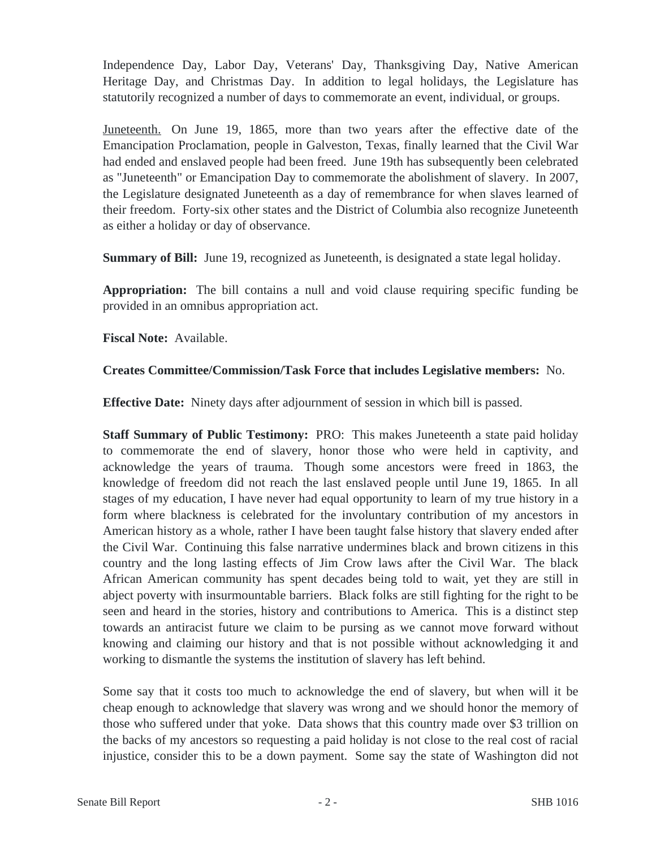Independence Day, Labor Day, Veterans' Day, Thanksgiving Day, Native American Heritage Day, and Christmas Day. In addition to legal holidays, the Legislature has statutorily recognized a number of days to commemorate an event, individual, or groups.

Juneteenth. On June 19, 1865, more than two years after the effective date of the Emancipation Proclamation, people in Galveston, Texas, finally learned that the Civil War had ended and enslaved people had been freed. June 19th has subsequently been celebrated as "Juneteenth" or Emancipation Day to commemorate the abolishment of slavery. In 2007, the Legislature designated Juneteenth as a day of remembrance for when slaves learned of their freedom. Forty-six other states and the District of Columbia also recognize Juneteenth as either a holiday or day of observance.

**Summary of Bill:** June 19, recognized as Juneteenth, is designated a state legal holiday.

**Appropriation:** The bill contains a null and void clause requiring specific funding be provided in an omnibus appropriation act.

**Fiscal Note:** Available.

# **Creates Committee/Commission/Task Force that includes Legislative members:** No.

**Effective Date:** Ninety days after adjournment of session in which bill is passed.

**Staff Summary of Public Testimony:** PRO: This makes Juneteenth a state paid holiday to commemorate the end of slavery, honor those who were held in captivity, and acknowledge the years of trauma. Though some ancestors were freed in 1863, the knowledge of freedom did not reach the last enslaved people until June 19, 1865. In all stages of my education, I have never had equal opportunity to learn of my true history in a form where blackness is celebrated for the involuntary contribution of my ancestors in American history as a whole, rather I have been taught false history that slavery ended after the Civil War. Continuing this false narrative undermines black and brown citizens in this country and the long lasting effects of Jim Crow laws after the Civil War. The black African American community has spent decades being told to wait, yet they are still in abject poverty with insurmountable barriers. Black folks are still fighting for the right to be seen and heard in the stories, history and contributions to America. This is a distinct step towards an antiracist future we claim to be pursing as we cannot move forward without knowing and claiming our history and that is not possible without acknowledging it and working to dismantle the systems the institution of slavery has left behind.

Some say that it costs too much to acknowledge the end of slavery, but when will it be cheap enough to acknowledge that slavery was wrong and we should honor the memory of those who suffered under that yoke. Data shows that this country made over \$3 trillion on the backs of my ancestors so requesting a paid holiday is not close to the real cost of racial injustice, consider this to be a down payment. Some say the state of Washington did not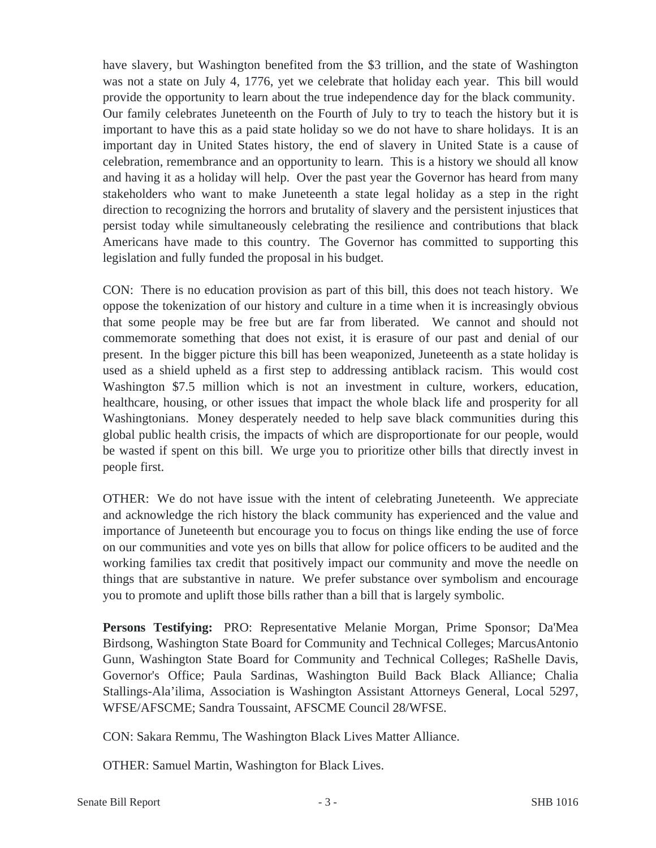have slavery, but Washington benefited from the \$3 trillion, and the state of Washington was not a state on July 4, 1776, yet we celebrate that holiday each year. This bill would provide the opportunity to learn about the true independence day for the black community. Our family celebrates Juneteenth on the Fourth of July to try to teach the history but it is important to have this as a paid state holiday so we do not have to share holidays. It is an important day in United States history, the end of slavery in United State is a cause of celebration, remembrance and an opportunity to learn. This is a history we should all know and having it as a holiday will help. Over the past year the Governor has heard from many stakeholders who want to make Juneteenth a state legal holiday as a step in the right direction to recognizing the horrors and brutality of slavery and the persistent injustices that persist today while simultaneously celebrating the resilience and contributions that black Americans have made to this country. The Governor has committed to supporting this legislation and fully funded the proposal in his budget.

CON: There is no education provision as part of this bill, this does not teach history. We oppose the tokenization of our history and culture in a time when it is increasingly obvious that some people may be free but are far from liberated. We cannot and should not commemorate something that does not exist, it is erasure of our past and denial of our present. In the bigger picture this bill has been weaponized, Juneteenth as a state holiday is used as a shield upheld as a first step to addressing antiblack racism. This would cost Washington \$7.5 million which is not an investment in culture, workers, education, healthcare, housing, or other issues that impact the whole black life and prosperity for all Washingtonians. Money desperately needed to help save black communities during this global public health crisis, the impacts of which are disproportionate for our people, would be wasted if spent on this bill. We urge you to prioritize other bills that directly invest in people first.

OTHER: We do not have issue with the intent of celebrating Juneteenth. We appreciate and acknowledge the rich history the black community has experienced and the value and importance of Juneteenth but encourage you to focus on things like ending the use of force on our communities and vote yes on bills that allow for police officers to be audited and the working families tax credit that positively impact our community and move the needle on things that are substantive in nature. We prefer substance over symbolism and encourage you to promote and uplift those bills rather than a bill that is largely symbolic.

**Persons Testifying:** PRO: Representative Melanie Morgan, Prime Sponsor; Da'Mea Birdsong, Washington State Board for Community and Technical Colleges; MarcusAntonio Gunn, Washington State Board for Community and Technical Colleges; RaShelle Davis, Governor's Office; Paula Sardinas, Washington Build Back Black Alliance; Chalia Stallings-Ala'ilima, Association is Washington Assistant Attorneys General, Local 5297, WFSE/AFSCME; Sandra Toussaint, AFSCME Council 28/WFSE.

CON: Sakara Remmu, The Washington Black Lives Matter Alliance.

OTHER: Samuel Martin, Washington for Black Lives.